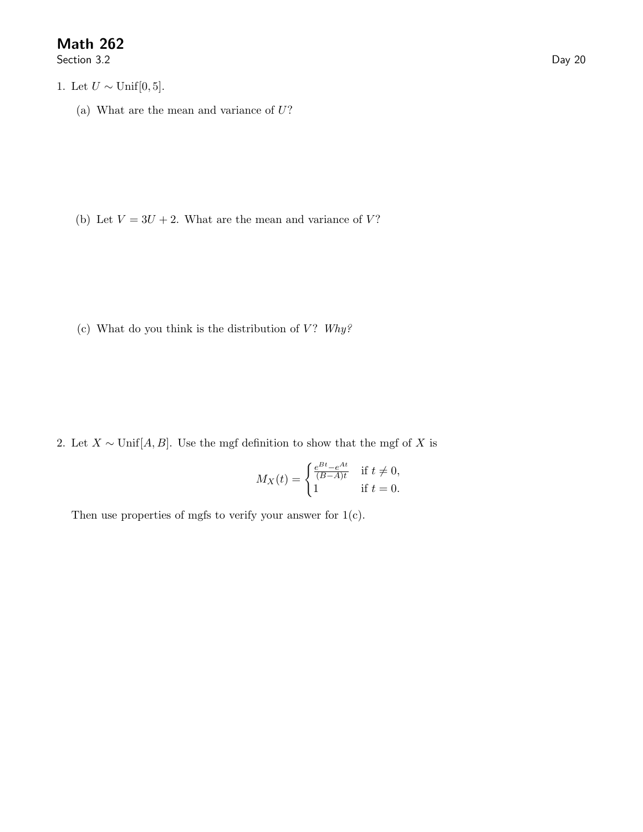## Math 262

Section 3.2 Day 20

- 1. Let  $U \sim \text{Unif}[0, 5]$ .
	- (a) What are the mean and variance of  $U$ ?

(b) Let  $V = 3U + 2$ . What are the mean and variance of V?

(c) What do you think is the distribution of  $V$ ? Why?

2. Let  $X \sim \text{Unif}[A, B]$ . Use the mgf definition to show that the mgf of X is

$$
M_X(t) = \begin{cases} \frac{e^{Bt} - e^{At}}{(B - A)t} & \text{if } t \neq 0, \\ 1 & \text{if } t = 0. \end{cases}
$$

Then use properties of mgfs to verify your answer for  $1(c)$ .